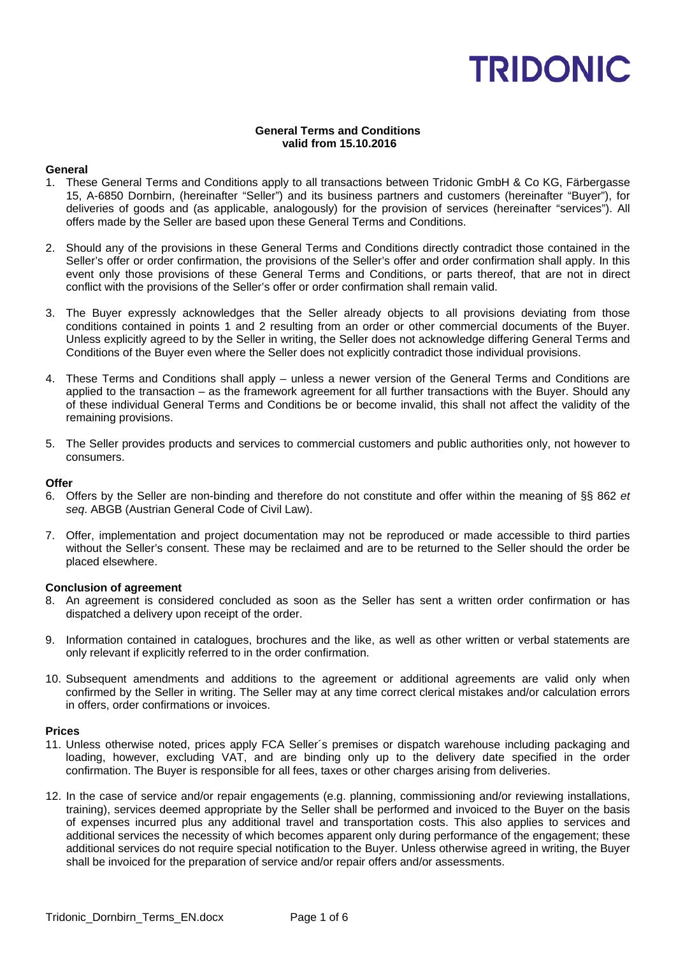### **General Terms and Conditions valid from 15.10.2016**

### **General**

- 1. These General Terms and Conditions apply to all transactions between Tridonic GmbH & Co KG, Färbergasse 15, A-6850 Dornbirn, (hereinafter "Seller") and its business partners and customers (hereinafter "Buyer"), for deliveries of goods and (as applicable, analogously) for the provision of services (hereinafter "services"). All offers made by the Seller are based upon these General Terms and Conditions.
- 2. Should any of the provisions in these General Terms and Conditions directly contradict those contained in the Seller's offer or order confirmation, the provisions of the Seller's offer and order confirmation shall apply. In this event only those provisions of these General Terms and Conditions, or parts thereof, that are not in direct conflict with the provisions of the Seller's offer or order confirmation shall remain valid.
- 3. The Buyer expressly acknowledges that the Seller already objects to all provisions deviating from those conditions contained in points 1 and 2 resulting from an order or other commercial documents of the Buyer. Unless explicitly agreed to by the Seller in writing, the Seller does not acknowledge differing General Terms and Conditions of the Buyer even where the Seller does not explicitly contradict those individual provisions.
- 4. These Terms and Conditions shall apply unless a newer version of the General Terms and Conditions are applied to the transaction – as the framework agreement for all further transactions with the Buyer. Should any of these individual General Terms and Conditions be or become invalid, this shall not affect the validity of the remaining provisions.
- 5. The Seller provides products and services to commercial customers and public authorities only, not however to consumers.

### **Offer**

- 6. Offers by the Seller are non-binding and therefore do not constitute and offer within the meaning of §§ 862 *et seq*. ABGB (Austrian General Code of Civil Law).
- 7. Offer, implementation and project documentation may not be reproduced or made accessible to third parties without the Seller's consent. These may be reclaimed and are to be returned to the Seller should the order be placed elsewhere.

#### **Conclusion of agreement**

- 8. An agreement is considered concluded as soon as the Seller has sent a written order confirmation or has dispatched a delivery upon receipt of the order.
- 9. Information contained in catalogues, brochures and the like, as well as other written or verbal statements are only relevant if explicitly referred to in the order confirmation.
- 10. Subsequent amendments and additions to the agreement or additional agreements are valid only when confirmed by the Seller in writing. The Seller may at any time correct clerical mistakes and/or calculation errors in offers, order confirmations or invoices.

#### **Prices**

- 11. Unless otherwise noted, prices apply FCA Seller´s premises or dispatch warehouse including packaging and loading, however, excluding VAT, and are binding only up to the delivery date specified in the order confirmation. The Buyer is responsible for all fees, taxes or other charges arising from deliveries.
- 12. In the case of service and/or repair engagements (e.g. planning, commissioning and/or reviewing installations, training), services deemed appropriate by the Seller shall be performed and invoiced to the Buyer on the basis of expenses incurred plus any additional travel and transportation costs. This also applies to services and additional services the necessity of which becomes apparent only during performance of the engagement; these additional services do not require special notification to the Buyer. Unless otherwise agreed in writing, the Buyer shall be invoiced for the preparation of service and/or repair offers and/or assessments.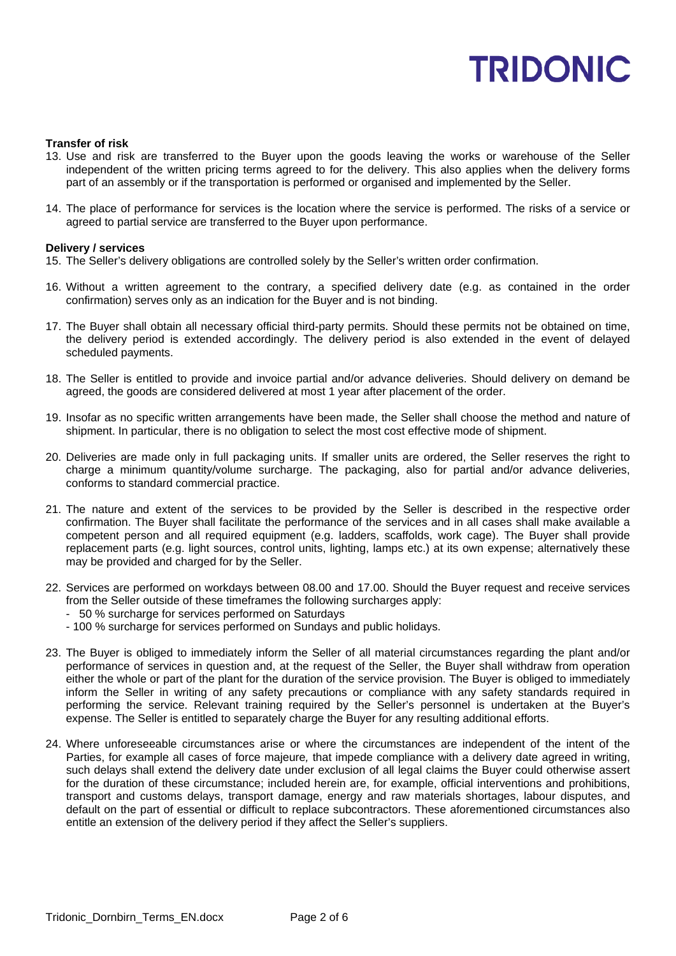#### **Transfer of risk**

- 13. Use and risk are transferred to the Buyer upon the goods leaving the works or warehouse of the Seller independent of the written pricing terms agreed to for the delivery. This also applies when the delivery forms part of an assembly or if the transportation is performed or organised and implemented by the Seller.
- 14. The place of performance for services is the location where the service is performed. The risks of a service or agreed to partial service are transferred to the Buyer upon performance.

#### **Delivery / services**

- 15. The Seller's delivery obligations are controlled solely by the Seller's written order confirmation.
- 16. Without a written agreement to the contrary, a specified delivery date (e.g. as contained in the order confirmation) serves only as an indication for the Buyer and is not binding.
- 17. The Buyer shall obtain all necessary official third-party permits. Should these permits not be obtained on time, the delivery period is extended accordingly. The delivery period is also extended in the event of delayed scheduled payments.
- 18. The Seller is entitled to provide and invoice partial and/or advance deliveries. Should delivery on demand be agreed, the goods are considered delivered at most 1 year after placement of the order.
- 19. Insofar as no specific written arrangements have been made, the Seller shall choose the method and nature of shipment. In particular, there is no obligation to select the most cost effective mode of shipment.
- 20. Deliveries are made only in full packaging units. If smaller units are ordered, the Seller reserves the right to charge a minimum quantity/volume surcharge. The packaging, also for partial and/or advance deliveries, conforms to standard commercial practice.
- 21. The nature and extent of the services to be provided by the Seller is described in the respective order confirmation. The Buyer shall facilitate the performance of the services and in all cases shall make available a competent person and all required equipment (e.g. ladders, scaffolds, work cage). The Buyer shall provide replacement parts (e.g. light sources, control units, lighting, lamps etc.) at its own expense; alternatively these may be provided and charged for by the Seller.
- 22. Services are performed on workdays between 08.00 and 17.00. Should the Buyer request and receive services from the Seller outside of these timeframes the following surcharges apply:
	- 50 % surcharge for services performed on Saturdays
	- 100 % surcharge for services performed on Sundays and public holidays.
- 23. The Buyer is obliged to immediately inform the Seller of all material circumstances regarding the plant and/or performance of services in question and, at the request of the Seller, the Buyer shall withdraw from operation either the whole or part of the plant for the duration of the service provision. The Buyer is obliged to immediately inform the Seller in writing of any safety precautions or compliance with any safety standards required in performing the service. Relevant training required by the Seller's personnel is undertaken at the Buyer's expense. The Seller is entitled to separately charge the Buyer for any resulting additional efforts.
- 24. Where unforeseeable circumstances arise or where the circumstances are independent of the intent of the Parties, for example all cases of force majeure*,* that impede compliance with a delivery date agreed in writing, such delays shall extend the delivery date under exclusion of all legal claims the Buyer could otherwise assert for the duration of these circumstance; included herein are, for example, official interventions and prohibitions, transport and customs delays, transport damage, energy and raw materials shortages, labour disputes, and default on the part of essential or difficult to replace subcontractors. These aforementioned circumstances also entitle an extension of the delivery period if they affect the Seller's suppliers.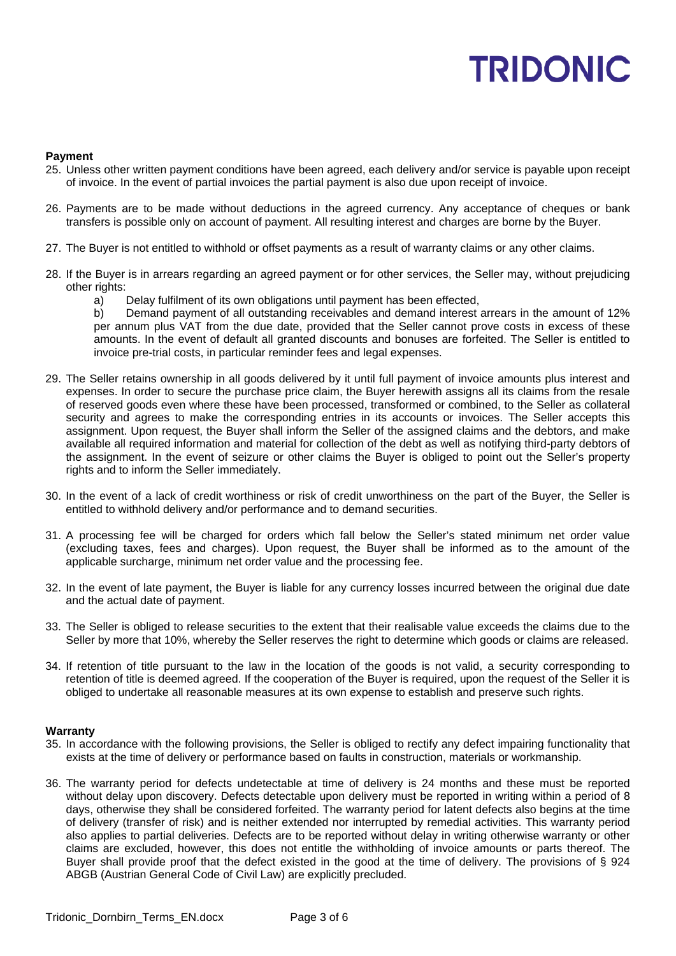#### **Payment**

- 25. Unless other written payment conditions have been agreed, each delivery and/or service is payable upon receipt of invoice. In the event of partial invoices the partial payment is also due upon receipt of invoice.
- 26. Payments are to be made without deductions in the agreed currency. Any acceptance of cheques or bank transfers is possible only on account of payment. All resulting interest and charges are borne by the Buyer.
- 27. The Buyer is not entitled to withhold or offset payments as a result of warranty claims or any other claims.
- 28. If the Buyer is in arrears regarding an agreed payment or for other services, the Seller may, without prejudicing other rights:
	- a) Delay fulfilment of its own obligations until payment has been effected,

b) Demand payment of all outstanding receivables and demand interest arrears in the amount of 12% per annum plus VAT from the due date, provided that the Seller cannot prove costs in excess of these amounts. In the event of default all granted discounts and bonuses are forfeited. The Seller is entitled to invoice pre-trial costs, in particular reminder fees and legal expenses.

- 29. The Seller retains ownership in all goods delivered by it until full payment of invoice amounts plus interest and expenses. In order to secure the purchase price claim, the Buyer herewith assigns all its claims from the resale of reserved goods even where these have been processed, transformed or combined, to the Seller as collateral security and agrees to make the corresponding entries in its accounts or invoices. The Seller accepts this assignment. Upon request, the Buyer shall inform the Seller of the assigned claims and the debtors, and make available all required information and material for collection of the debt as well as notifying third-party debtors of the assignment. In the event of seizure or other claims the Buyer is obliged to point out the Seller's property rights and to inform the Seller immediately.
- 30. In the event of a lack of credit worthiness or risk of credit unworthiness on the part of the Buyer, the Seller is entitled to withhold delivery and/or performance and to demand securities.
- 31. A processing fee will be charged for orders which fall below the Seller's stated minimum net order value (excluding taxes, fees and charges). Upon request, the Buyer shall be informed as to the amount of the applicable surcharge, minimum net order value and the processing fee.
- 32. In the event of late payment, the Buyer is liable for any currency losses incurred between the original due date and the actual date of payment.
- 33. The Seller is obliged to release securities to the extent that their realisable value exceeds the claims due to the Seller by more that 10%, whereby the Seller reserves the right to determine which goods or claims are released.
- 34. If retention of title pursuant to the law in the location of the goods is not valid, a security corresponding to retention of title is deemed agreed. If the cooperation of the Buyer is required, upon the request of the Seller it is obliged to undertake all reasonable measures at its own expense to establish and preserve such rights.

#### **Warranty**

- 35. In accordance with the following provisions, the Seller is obliged to rectify any defect impairing functionality that exists at the time of delivery or performance based on faults in construction, materials or workmanship.
- 36. The warranty period for defects undetectable at time of delivery is 24 months and these must be reported without delay upon discovery. Defects detectable upon delivery must be reported in writing within a period of 8 days, otherwise they shall be considered forfeited. The warranty period for latent defects also begins at the time of delivery (transfer of risk) and is neither extended nor interrupted by remedial activities. This warranty period also applies to partial deliveries. Defects are to be reported without delay in writing otherwise warranty or other claims are excluded, however, this does not entitle the withholding of invoice amounts or parts thereof. The Buyer shall provide proof that the defect existed in the good at the time of delivery. The provisions of § 924 ABGB (Austrian General Code of Civil Law) are explicitly precluded.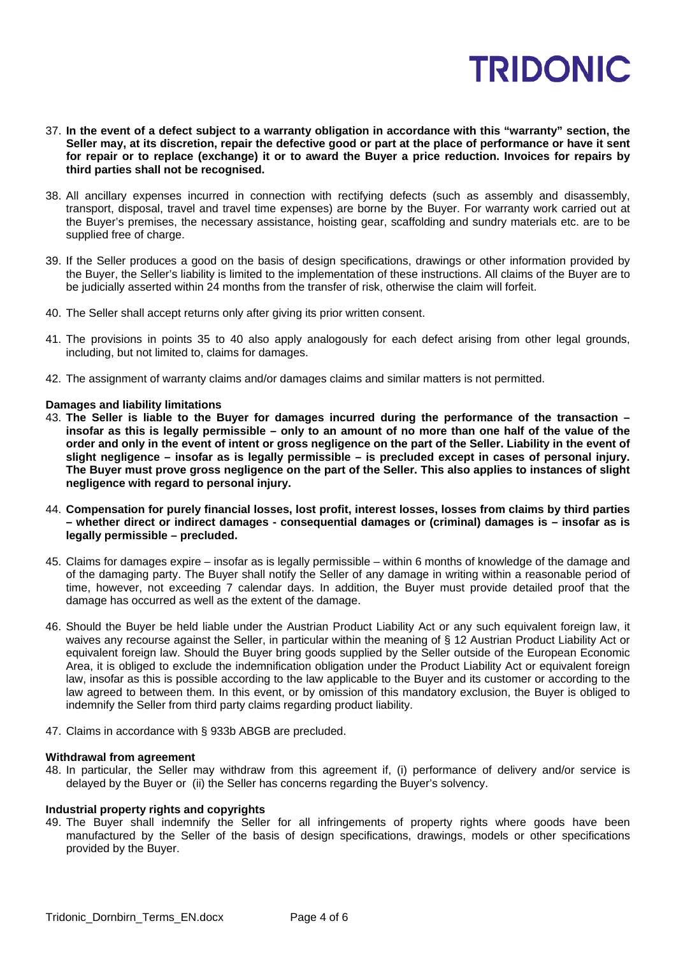- 37. **In the event of a defect subject to a warranty obligation in accordance with this "warranty" section, the Seller may, at its discretion, repair the defective good or part at the place of performance or have it sent for repair or to replace (exchange) it or to award the Buyer a price reduction. Invoices for repairs by third parties shall not be recognised.**
- 38. All ancillary expenses incurred in connection with rectifying defects (such as assembly and disassembly, transport, disposal, travel and travel time expenses) are borne by the Buyer. For warranty work carried out at the Buyer's premises, the necessary assistance, hoisting gear, scaffolding and sundry materials etc. are to be supplied free of charge.
- 39. If the Seller produces a good on the basis of design specifications, drawings or other information provided by the Buyer, the Seller's liability is limited to the implementation of these instructions. All claims of the Buyer are to be judicially asserted within 24 months from the transfer of risk, otherwise the claim will forfeit.
- 40. The Seller shall accept returns only after giving its prior written consent.
- 41. The provisions in points 35 to 40 also apply analogously for each defect arising from other legal grounds, including, but not limited to, claims for damages.
- 42. The assignment of warranty claims and/or damages claims and similar matters is not permitted.

# **Damages and liability limitations**

- 43. **The Seller is liable to the Buyer for damages incurred during the performance of the transaction – insofar as this is legally permissible – only to an amount of no more than one half of the value of the order and only in the event of intent or gross negligence on the part of the Seller. Liability in the event of slight negligence – insofar as is legally permissible – is precluded except in cases of personal injury. The Buyer must prove gross negligence on the part of the Seller. This also applies to instances of slight negligence with regard to personal injury.**
- 44. **Compensation for purely financial losses, lost profit, interest losses, losses from claims by third parties – whether direct or indirect damages - consequential damages or (criminal) damages is – insofar as is legally permissible – precluded.**
- 45. Claims for damages expire insofar as is legally permissible within 6 months of knowledge of the damage and of the damaging party. The Buyer shall notify the Seller of any damage in writing within a reasonable period of time, however, not exceeding 7 calendar days. In addition, the Buyer must provide detailed proof that the damage has occurred as well as the extent of the damage.
- 46. Should the Buyer be held liable under the Austrian Product Liability Act or any such equivalent foreign law, it waives any recourse against the Seller, in particular within the meaning of § 12 Austrian Product Liability Act or equivalent foreign law. Should the Buyer bring goods supplied by the Seller outside of the European Economic Area, it is obliged to exclude the indemnification obligation under the Product Liability Act or equivalent foreign law, insofar as this is possible according to the law applicable to the Buyer and its customer or according to the law agreed to between them. In this event, or by omission of this mandatory exclusion, the Buyer is obliged to indemnify the Seller from third party claims regarding product liability.
- 47. Claims in accordance with § 933b ABGB are precluded.

#### **Withdrawal from agreement**

48. In particular, the Seller may withdraw from this agreement if, (i) performance of delivery and/or service is delayed by the Buyer or (ii) the Seller has concerns regarding the Buyer's solvency.

# **Industrial property rights and copyrights**

49. The Buyer shall indemnify the Seller for all infringements of property rights where goods have been manufactured by the Seller of the basis of design specifications, drawings, models or other specifications provided by the Buyer.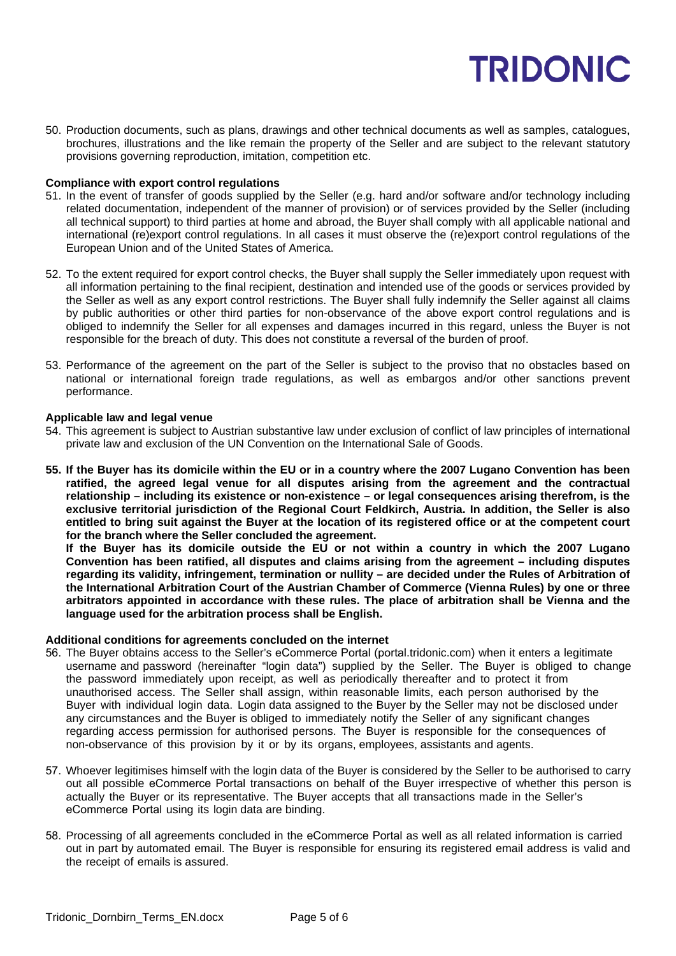50. Production documents, such as plans, drawings and other technical documents as well as samples, catalogues, brochures, illustrations and the like remain the property of the Seller and are subject to the relevant statutory provisions governing reproduction, imitation, competition etc.

### **Compliance with export control regulations**

- 51. In the event of transfer of goods supplied by the Seller (e.g. hard and/or software and/or technology including related documentation, independent of the manner of provision) or of services provided by the Seller (including all technical support) to third parties at home and abroad, the Buyer shall comply with all applicable national and international (re)export control regulations. In all cases it must observe the (re)export control regulations of the European Union and of the United States of America.
- 52. To the extent required for export control checks, the Buyer shall supply the Seller immediately upon request with all information pertaining to the final recipient, destination and intended use of the goods or services provided by the Seller as well as any export control restrictions. The Buyer shall fully indemnify the Seller against all claims by public authorities or other third parties for non-observance of the above export control regulations and is obliged to indemnify the Seller for all expenses and damages incurred in this regard, unless the Buyer is not responsible for the breach of duty. This does not constitute a reversal of the burden of proof.
- 53. Performance of the agreement on the part of the Seller is subject to the proviso that no obstacles based on national or international foreign trade regulations, as well as embargos and/or other sanctions prevent performance.

#### **Applicable law and legal venue**

- 54. This agreement is subject to Austrian substantive law under exclusion of conflict of law principles of international private law and exclusion of the UN Convention on the International Sale of Goods.
- **55. If the Buyer has its domicile within the EU or in a country where the 2007 Lugano Convention has been ratified, the agreed legal venue for all disputes arising from the agreement and the contractual relationship – including its existence or non-existence – or legal consequences arising therefrom, is the exclusive territorial jurisdiction of the Regional Court Feldkirch, Austria. In addition, the Seller is also entitled to bring suit against the Buyer at the location of its registered office or at the competent court for the branch where the Seller concluded the agreement.**

**If the Buyer has its domicile outside the EU or not within a country in which the 2007 Lugano Convention has been ratified, all disputes and claims arising from the agreement – including disputes regarding its validity, infringement, termination or nullity – are decided under the Rules of Arbitration of the International Arbitration Court of the Austrian Chamber of Commerce (Vienna Rules) by one or three arbitrators appointed in accordance with these rules. The place of arbitration shall be Vienna and the language used for the arbitration process shall be English.**

#### **Additional conditions for agreements concluded on the internet**

- 56. The Buyer obtains access to the Seller's eCommerce Portal (portal.tridonic.com) when it enters a legitimate username and password (hereinafter "login data") supplied by the Seller. The Buyer is obliged to change the password immediately upon receipt, as well as periodically thereafter and to protect it from unauthorised access. The Seller shall assign, within reasonable limits, each person authorised by the Buyer with individual login data. Login data assigned to the Buyer by the Seller may not be disclosed under any circumstances and the Buyer is obliged to immediately notify the Seller of any significant changes regarding access permission for authorised persons. The Buyer is responsible for the consequences of non-observance of this provision by it or by its organs, employees, assistants and agents.
- 57. Whoever legitimises himself with the login data of the Buyer is considered by the Seller to be authorised to carry out all possible eCommerce Portal transactions on behalf of the Buyer irrespective of whether this person is actually the Buyer or its representative. The Buyer accepts that all transactions made in the Seller's eCommerce Portal using its login data are binding.
- 58. Processing of all agreements concluded in the eCommerce Portal as well as all related information is carried out in part by automated email. The Buyer is responsible for ensuring its registered email address is valid and the receipt of emails is assured.